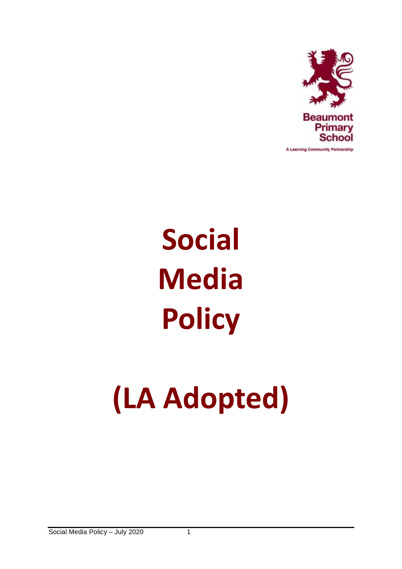

A Learning Community Partnership

# **Social Media Policy**

# **(LA Adopted)**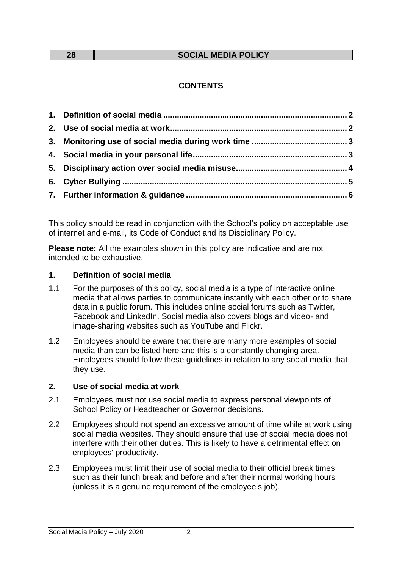#### **28 SOCIAL MEDIA POLICY**

## **CONTENTS**

This policy should be read in conjunction with the School's policy on acceptable use of internet and e-mail, its Code of Conduct and its Disciplinary Policy.

**Please note:** All the examples shown in this policy are indicative and are not intended to be exhaustive.

### <span id="page-1-0"></span>**1. Definition of social media**

- 1.1 For the purposes of this policy, social media is a type of interactive online media that allows parties to communicate instantly with each other or to share data in a public forum. This includes online social forums such as Twitter, Facebook and LinkedIn. Social media also covers blogs and video- and image-sharing websites such as YouTube and Flickr.
- 1.2 Employees should be aware that there are many more examples of social media than can be listed here and this is a constantly changing area. Employees should follow these guidelines in relation to any social media that they use.

### <span id="page-1-1"></span>**2. Use of social media at work**

- 2.1 Employees must not use social media to express personal viewpoints of School Policy or Headteacher or Governor decisions.
- 2.2 Employees should not spend an excessive amount of time while at work using social media websites. They should ensure that use of social media does not interfere with their other duties. This is likely to have a detrimental effect on employees' productivity.
- 2.3 Employees must limit their use of social media to their official break times such as their lunch break and before and after their normal working hours (unless it is a genuine requirement of the employee's job).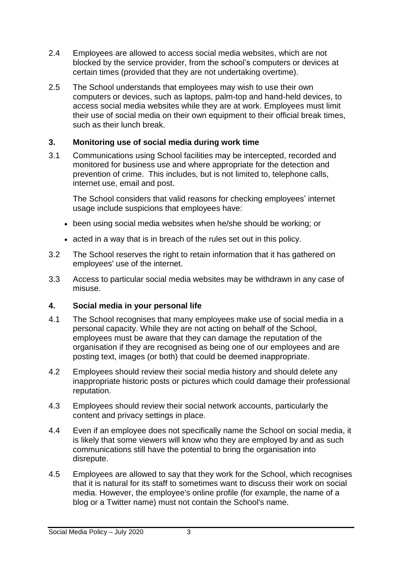- 2.4 Employees are allowed to access social media websites, which are not blocked by the service provider, from the school's computers or devices at certain times (provided that they are not undertaking overtime).
- 2.5 The School understands that employees may wish to use their own computers or devices, such as laptops, palm-top and hand-held devices, to access social media websites while they are at work. Employees must limit their use of social media on their own equipment to their official break times, such as their lunch break.

## <span id="page-2-0"></span>**3. Monitoring use of social media during work time**

3.1 Communications using School facilities may be intercepted, recorded and monitored for business use and where appropriate for the detection and prevention of crime. This includes, but is not limited to, telephone calls, internet use, email and post.

The School considers that valid reasons for checking employees' internet usage include suspicions that employees have:

- been using social media websites when he/she should be working; or
- acted in a way that is in breach of the rules set out in this policy.
- 3.2 The School reserves the right to retain information that it has gathered on employees' use of the internet.
- 3.3 Access to particular social media websites may be withdrawn in any case of misuse.

# <span id="page-2-1"></span>**4. Social media in your personal life**

- 4.1 The School recognises that many employees make use of social media in a personal capacity. While they are not acting on behalf of the School, employees must be aware that they can damage the reputation of the organisation if they are recognised as being one of our employees and are posting text, images (or both) that could be deemed inappropriate.
- 4.2 Employees should review their social media history and should delete any inappropriate historic posts or pictures which could damage their professional reputation.
- 4.3 Employees should review their social network accounts, particularly the content and privacy settings in place.
- 4.4 Even if an employee does not specifically name the School on social media, it is likely that some viewers will know who they are employed by and as such communications still have the potential to bring the organisation into disrepute.
- 4.5 Employees are allowed to say that they work for the School, which recognises that it is natural for its staff to sometimes want to discuss their work on social media. However, the employee's online profile (for example, the name of a blog or a Twitter name) must not contain the School's name.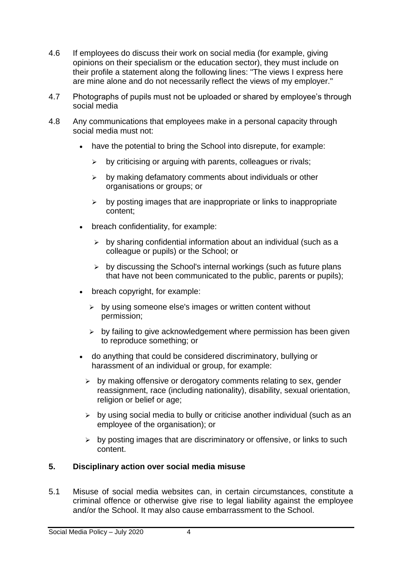- 4.6 If employees do discuss their work on social media (for example, giving opinions on their specialism or the education sector), they must include on their profile a statement along the following lines: "The views I express here are mine alone and do not necessarily reflect the views of my employer."
- 4.7 Photographs of pupils must not be uploaded or shared by employee's through social media
- 4.8 Any communications that employees make in a personal capacity through social media must not:
	- have the potential to bring the School into disrepute, for example:
		- $\triangleright$  by criticising or arguing with parents, colleagues or rivals:
		- $\triangleright$  by making defamatory comments about individuals or other organisations or groups; or
		- $\triangleright$  by posting images that are inappropriate or links to inappropriate content;
	- breach confidentiality, for example:
		- $\triangleright$  by sharing confidential information about an individual (such as a colleague or pupils) or the School; or
		- $\triangleright$  by discussing the School's internal workings (such as future plans that have not been communicated to the public, parents or pupils);
	- breach copyright, for example:
		- $\triangleright$  by using someone else's images or written content without permission;
		- $\triangleright$  by failing to give acknowledgement where permission has been given to reproduce something; or
	- do anything that could be considered discriminatory, bullying or harassment of an individual or group, for example:
		- $\triangleright$  by making offensive or derogatory comments relating to sex, gender reassignment, race (including nationality), disability, sexual orientation, religion or belief or age:
		- $\triangleright$  by using social media to bully or criticise another individual (such as an employee of the organisation); or
		- $\triangleright$  by posting images that are discriminatory or offensive, or links to such content.

# <span id="page-3-0"></span>**5. Disciplinary action over social media misuse**

5.1 Misuse of social media websites can, in certain circumstances, constitute a criminal offence or otherwise give rise to legal liability against the employee and/or the School. It may also cause embarrassment to the School.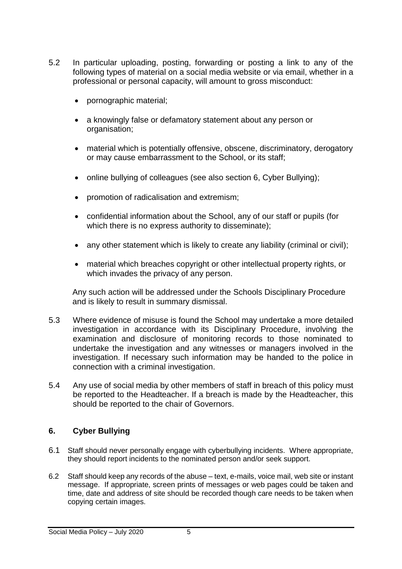- 5.2 In particular uploading, posting, forwarding or posting a link to any of the following types of material on a social media website or via email, whether in a professional or personal capacity, will amount to gross misconduct:
	- pornographic material;
	- a knowingly false or defamatory statement about any person or organisation;
	- material which is potentially offensive, obscene, discriminatory, derogatory or may cause embarrassment to the School, or its staff;
	- online bullying of colleagues (see also section 6, Cyber Bullying);
	- promotion of radicalisation and extremism;
	- confidential information about the School, any of our staff or pupils (for which there is no express authority to disseminate);
	- any other statement which is likely to create any liability (criminal or civil);
	- material which breaches copyright or other intellectual property rights, or which invades the privacy of any person.

Any such action will be addressed under the Schools Disciplinary Procedure and is likely to result in summary dismissal.

- 5.3 Where evidence of misuse is found the School may undertake a more detailed investigation in accordance with its Disciplinary Procedure, involving the examination and disclosure of monitoring records to those nominated to undertake the investigation and any witnesses or managers involved in the investigation. If necessary such information may be handed to the police in connection with a criminal investigation.
- 5.4 Any use of social media by other members of staff in breach of this policy must be reported to the Headteacher. If a breach is made by the Headteacher, this should be reported to the chair of Governors.

## <span id="page-4-0"></span>**6. Cyber Bullying**

- 6.1 Staff should never personally engage with cyberbullying incidents. Where appropriate, they should report incidents to the nominated person and/or seek support.
- 6.2 Staff should keep any records of the abuse text, e-mails, voice mail, web site or instant message. If appropriate, screen prints of messages or web pages could be taken and time, date and address of site should be recorded though care needs to be taken when copying certain images.